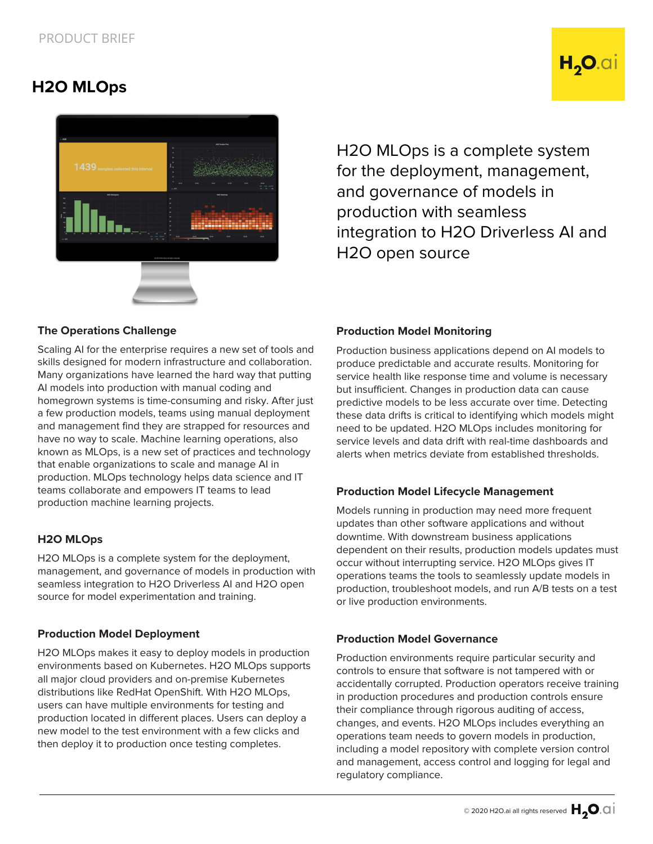**H2O MLOps**

# H<sub>2</sub>O.ai



H2O MLOps is a complete system for the deployment, management, and governance of models in production with seamless integration to H2O Driverless AI and H2O open source

#### **The Operations Challenge**

Scaling AI for the enterprise requires a new set of tools and skills designed for modern infrastructure and collaboration. Many organizations have learned the hard way that putting AI models into production with manual coding and homegrown systems is time-consuming and risky. After just a few production models, teams using manual deployment and management find they are strapped for resources and have no way to scale. Machine learning operations, also known as MLOps, is a new set of practices and technology that enable organizations to scale and manage AI in production. MLOps technology helps data science and IT teams collaborate and empowers IT teams to lead production machine learning projects.

#### **H2O MLOps**

H2O MLOps is a complete system for the deployment, management, and governance of models in production with seamless integration to H2O Driverless AI and H2O open source for model experimentation and training.

#### **Production Model Deployment**

H2O MLOps makes it easy to deploy models in production environments based on Kubernetes. H2O MLOps supports all major cloud providers and on-premise Kubernetes distributions like RedHat OpenShift. With H2O MLOps, users can have multiple environments for testing and production located in different places. Users can deploy a new model to the test environment with a few clicks and then deploy it to production once testing completes.

#### **Production Model Monitoring**

Production business applications depend on AI models to produce predictable and accurate results. Monitoring for service health like response time and volume is necessary but insufficient. Changes in production data can cause predictive models to be less accurate over time. Detecting these data drifts is critical to identifying which models might need to be updated. H2O MLOps includes monitoring for service levels and data drift with real-time dashboards and alerts when metrics deviate from established thresholds.

#### **Production Model Lifecycle Management**

Models running in production may need more frequent updates than other software applications and without downtime. With downstream business applications dependent on their results, production models updates must occur without interrupting service. H2O MLOps gives IT operations teams the tools to seamlessly update models in production, troubleshoot models, and run A/B tests on a test or live production environments.

#### **Production Model Governance**

Production environments require particular security and controls to ensure that software is not tampered with or accidentally corrupted. Production operators receive training in production procedures and production controls ensure their compliance through rigorous auditing of access, changes, and events. H2O MLOps includes everything an operations team needs to govern models in production, including a model repository with complete version control and management, access control and logging for legal and regulatory compliance.